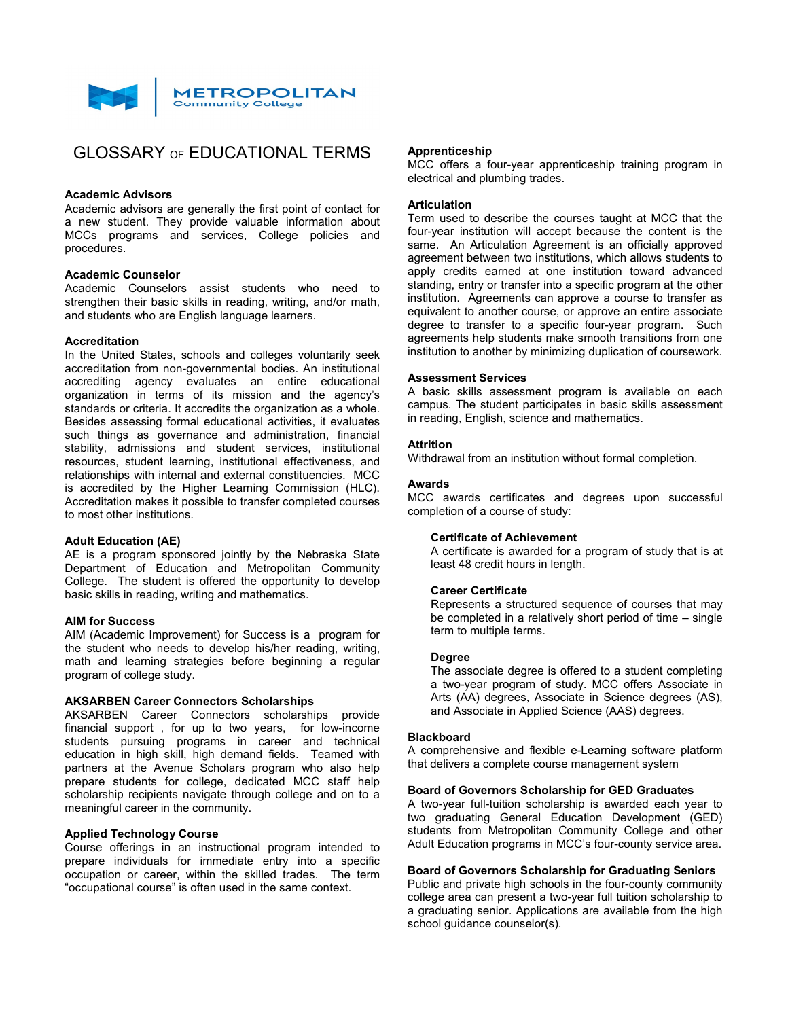

# GLOSSARY OF EDUCATIONAL TERMS

#### **Academic Advisors**

Academic advisors are generally the first point of contact for a new student. They provide valuable information about MCCs programs and services, College policies and procedures.

## **Academic Counselor**

Academic Counselors assist students who need to strengthen their basic skills in reading, writing, and/or math, and students who are English language learners.

## **Accreditation**

In the United States, schools and colleges voluntarily seek accreditation from non-governmental bodies. An institutional accrediting agency evaluates an entire educational organization in terms of its mission and the agency's standards or criteria. It accredits the organization as a whole. Besides assessing formal educational activities, it evaluates such things as governance and administration, financial stability, admissions and student services, institutional resources, student learning, institutional effectiveness, and relationships with internal and external constituencies. MCC is accredited by the Higher Learning Commission (HLC). Accreditation makes it possible to transfer completed courses to most other institutions.

## **Adult Education (AE)**

AE is a program sponsored jointly by the Nebraska State Department of Education and Metropolitan Community College. The student is offered the opportunity to develop basic skills in reading, writing and mathematics.

## **AIM for Success**

AIM (Academic Improvement) for Success is a program for the student who needs to develop his/her reading, writing, math and learning strategies before beginning a regular program of college study.

## **AKSARBEN Career Connectors Scholarships**

AKSARBEN Career Connectors scholarships provide financial support , for up to two years, for low-income students pursuing programs in career and technical education in high skill, high demand fields. Teamed with partners at the Avenue Scholars program who also help prepare students for college, dedicated MCC staff help scholarship recipients navigate through college and on to a meaningful career in the community.

## **Applied Technology Course**

Course offerings in an instructional program intended to prepare individuals for immediate entry into a specific occupation or career, within the skilled trades. The term "occupational course" is often used in the same context.

## **Apprenticeship**

MCC offers a four-year apprenticeship training program in electrical and plumbing trades.

## **Articulation**

Term used to describe the courses taught at MCC that the four-year institution will accept because the content is the same. An Articulation Agreement is an officially approved agreement between two institutions, which allows students to apply credits earned at one institution toward advanced standing, entry or transfer into a specific program at the other institution. Agreements can approve a course to transfer as equivalent to another course, or approve an entire associate degree to transfer to a specific four-year program. Such agreements help students make smooth transitions from one institution to another by minimizing duplication of coursework.

#### **Assessment Services**

A basic skills assessment program is available on each campus. The student participates in basic skills assessment in reading, English, science and mathematics.

## **Attrition**

Withdrawal from an institution without formal completion.

#### **Awards**

MCC awards certificates and degrees upon successful completion of a course of study:

#### **Certificate of Achievement**

A certificate is awarded for a program of study that is at least 48 credit hours in length.

## **Career Certificate**

Represents a structured sequence of courses that may be completed in a relatively short period of time – single term to multiple terms.

## **Degree**

The associate degree is offered to a student completing a two-year program of study. MCC offers Associate in Arts (AA) degrees, Associate in Science degrees (AS), and Associate in Applied Science (AAS) degrees.

#### **Blackboard**

A comprehensive and flexible e-Learning software platform that delivers a complete course management system

#### **Board of Governors Scholarship for GED Graduates**

A two-year full-tuition scholarship is awarded each year to two graduating General Education Development (GED) students from Metropolitan Community College and other Adult Education programs in MCC's four-county service area.

## **Board of Governors Scholarship for Graduating Seniors**

Public and private high schools in the four-county community college area can present a two-year full tuition scholarship to a graduating senior. Applications are available from the high school guidance counselor(s).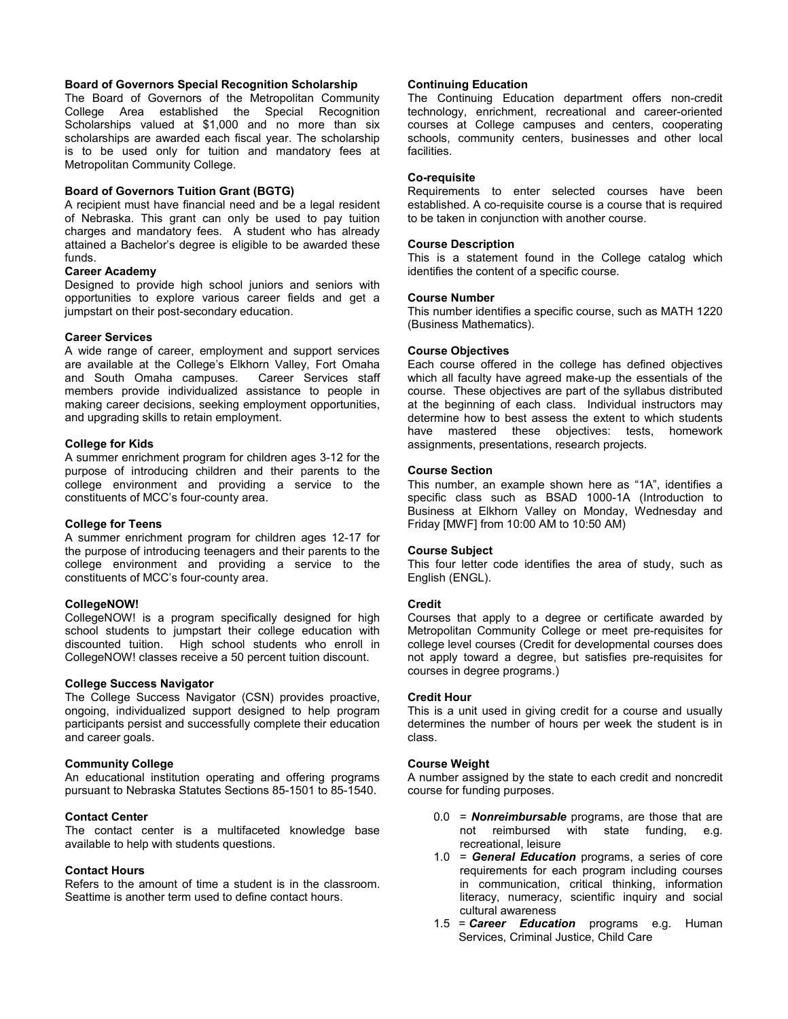## **Board of Governors Special Recognition Scholarship**

The Board of Governors of the Metropolitan Community College Area established the Special Recognition Scholarships valued at \$1,000 and no more than six scholarships are awarded each fiscal year. The scholarship is to be used only for tuition and mandatory fees at Metropolitan Community College.

## **Board of Governors Tuition Grant (BGTG)**

A recipient must have financial need and be a legal resident of Nebraska. This grant can only be used to pay tuition charges and mandatory fees. A student who has already attained a Bachelor's degree is eligible to be awarded these funds.

#### **Career Academy**

Designed to provide high school juniors and seniors with opportunities to explore various career fields and get a jumpstart on their post-secondary education.

#### **Career Services**

A wide range of career, employment and support services are available at the College's Elkhorn Valley, Fort Omaha and South Omaha campuses. Career Services staff members provide individualized assistance to people in making career decisions, seeking employment opportunities, and upgrading skills to retain employment.

## **College for Kids**

A summer enrichment program for children ages 3-12 for the purpose of introducing children and their parents to the college environment and providing a service to the constituents of MCC's four-county area.

#### **College for Teens**

A summer enrichment program for children ages 12-17 for the purpose of introducing teenagers and their parents to the college environment and providing a service to the constituents of MCC's four-county area.

## **CollegeNOW!**

CollegeNOW! is a program specifically designed for high school students to jumpstart their college education with discounted tuition. High school students who enroll in CollegeNOW! classes receive a 50 percent tuition discount.

## **College Success Navigator**

The College Success Navigator (CSN) provides proactive, ongoing, individualized support designed to help program participants persist and successfully complete their education and career goals.

## **Community College**

An educational institution operating and offering programs pursuant to Nebraska Statutes Sections 85-1501 to 85-1540.

#### **Contact Center**

The contact center is a multifaceted knowledge base available to help with students questions.

#### **Contact Hours**

Refers to the amount of time a student is in the classroom. Seattime is another term used to define contact hours.

## **Continuing Education**

The Continuing Education department offers non-credit technology, enrichment, recreational and career-oriented courses at College campuses and centers, cooperating schools, community centers, businesses and other local facilities.

## **Co-requisite**

Requirements to enter selected courses have been established. A co-requisite course is a course that is required to be taken in conjunction with another course.

#### **Course Description**

This is a statement found in the College catalog which identifies the content of a specific course.

#### **Course Number**

This number identifies a specific course, such as MATH 1220 (Business Mathematics).

#### **Course Objectives**

Each course offered in the college has defined objectives which all faculty have agreed make-up the essentials of the course. These objectives are part of the syllabus distributed at the beginning of each class. Individual instructors may determine how to best assess the extent to which students<br>have mastered these objectives: tests, homework mastered these objectives: tests, assignments, presentations, research projects.

## **Course Section**

This number, an example shown here as "1A", identifies a specific class such as BSAD 1000-1A (Introduction to Business at Elkhorn Valley on Monday, Wednesday and Friday [MWF] from 10:00 AM to 10:50 AM)

#### **Course Subject**

This four letter code identifies the area of study, such as English (ENGL).

## **Credit**

Courses that apply to a degree or certificate awarded by Metropolitan Community College or meet pre-requisites for college level courses (Credit for developmental courses does not apply toward a degree, but satisfies pre-requisites for courses in degree programs.)

#### **Credit Hour**

This is a unit used in giving credit for a course and usually determines the number of hours per week the student is in class.

## **Course Weight**

A number assigned by the state to each credit and noncredit course for funding purposes.

- 0.0 = *Nonreimbursable* programs, are those that are not reimbursed with state funding, e.g. recreational, leisure
- 1.0 = *General Education* programs, a series of core requirements for each program including courses in communication, critical thinking, information literacy, numeracy, scientific inquiry and social cultural awareness
- 1.5 = *Career Education* programs e.g. Human Services, Criminal Justice, Child Care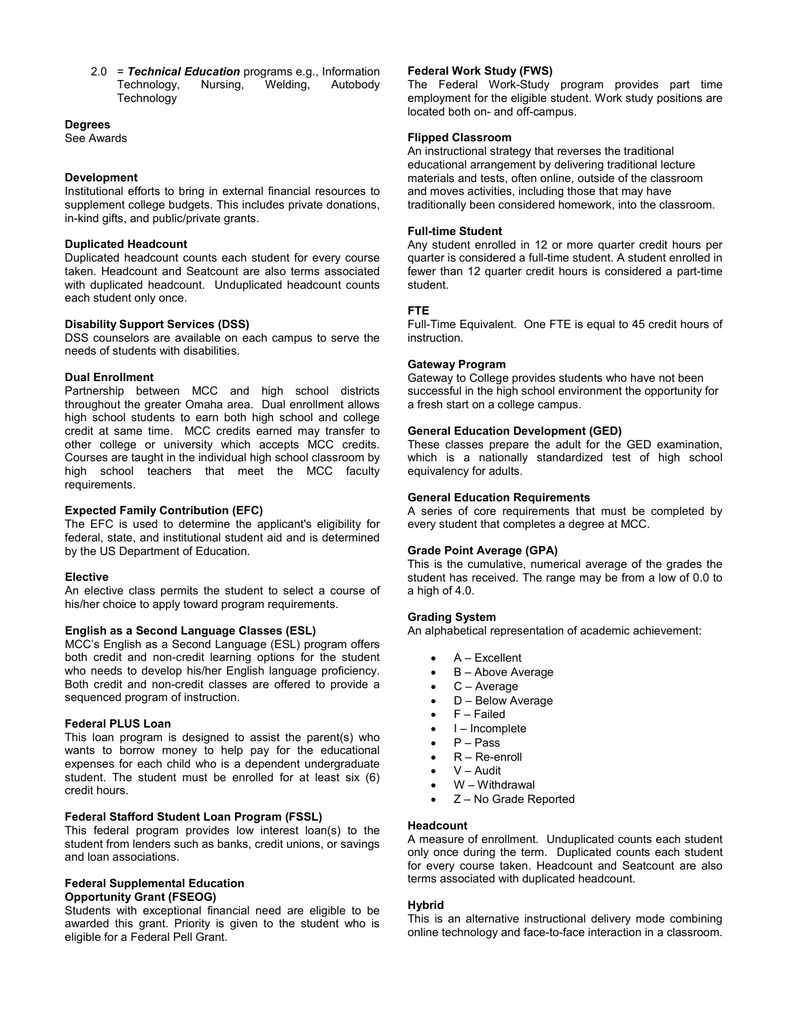2.0 = *Technical Education* programs e.g., Information Technology, Nursing, Welding, Autobody **Technology** 

## **Degrees**

See Awards

## **Development**

Institutional efforts to bring in external financial resources to supplement college budgets. This includes private donations, in-kind gifts, and public/private grants.

## **Duplicated Headcount**

Duplicated headcount counts each student for every course taken. Headcount and Seatcount are also terms associated with duplicated headcount. Unduplicated headcount counts each student only once.

## **Disability Support Services (DSS)**

DSS counselors are available on each campus to serve the needs of students with disabilities.

## **Dual Enrollment**

Partnership between MCC and high school districts throughout the greater Omaha area. Dual enrollment allows high school students to earn both high school and college credit at same time. MCC credits earned may transfer to other college or university which accepts MCC credits. Courses are taught in the individual high school classroom by high school teachers that meet the MCC faculty requirements.

## **Expected Family Contribution (EFC)**

The EFC is used to determine the applicant's eligibility for federal, state, and institutional student aid and is determined by the US Department of Education.

## **Elective**

An elective class permits the student to select a course of his/her choice to apply toward program requirements.

## **English as a Second Language Classes (ESL)**

MCC's English as a Second Language (ESL) program offers both credit and non-credit learning options for the student who needs to develop his/her English language proficiency. Both credit and non-credit classes are offered to provide a sequenced program of instruction.

## **Federal PLUS Loan**

This loan program is designed to assist the parent(s) who wants to borrow money to help pay for the educational expenses for each child who is a dependent undergraduate student. The student must be enrolled for at least six (6) credit hours.

## **Federal Stafford Student Loan Program (FSSL)**

This federal program provides low interest loan(s) to the student from lenders such as banks, credit unions, or savings and loan associations.

## **Federal Supplemental Education Opportunity Grant (FSEOG)**

Students with exceptional financial need are eligible to be awarded this grant. Priority is given to the student who is eligible for a Federal Pell Grant.

## **Federal Work Study (FWS)**

The Federal Work-Study program provides part time employment for the eligible student. Work study positions are located both on- and off-campus.

## **Flipped Classroom**

An instructional strategy that reverses the traditional educational arrangement by delivering traditional lecture materials and tests, often online, outside of the classroom and moves activities, including those that may have traditionally been considered homework, into the classroom.

## **Full-time Student**

Any student enrolled in 12 or more quarter credit hours per quarter is considered a full-time student. A student enrolled in fewer than 12 quarter credit hours is considered a part-time student.

## **FTE**

Full-Time Equivalent. One FTE is equal to 45 credit hours of instruction.

## **Gateway Program**

Gateway to College provides students who have not been successful in the high school environment the opportunity for a fresh start on a college campus.

## **General Education Development (GED)**

These classes prepare the adult for the GED examination, which is a nationally standardized test of high school equivalency for adults.

## **General Education Requirements**

A series of core requirements that must be completed by every student that completes a degree at MCC.

## **Grade Point Average (GPA)**

This is the cumulative, numerical average of the grades the student has received. The range may be from a low of 0.0 to a high of 4.0.

## **Grading System**

An alphabetical representation of academic achievement:

- $A Excellent$
- **B** Above Average
- C Average
- D Below Average
- F Failed
- $\bullet$   $I$  Incomplete
- $\bullet$   $P Pass$
- $R Re$ -enroll
- V Audit
- W Withdrawal
- Z No Grade Reported

## **Headcount**

A measure of enrollment. Unduplicated counts each student only once during the term. Duplicated counts each student for every course taken. Headcount and Seatcount are also terms associated with duplicated headcount.

## **Hybrid**

This is an alternative instructional delivery mode combining online technology and face-to-face interaction in a classroom.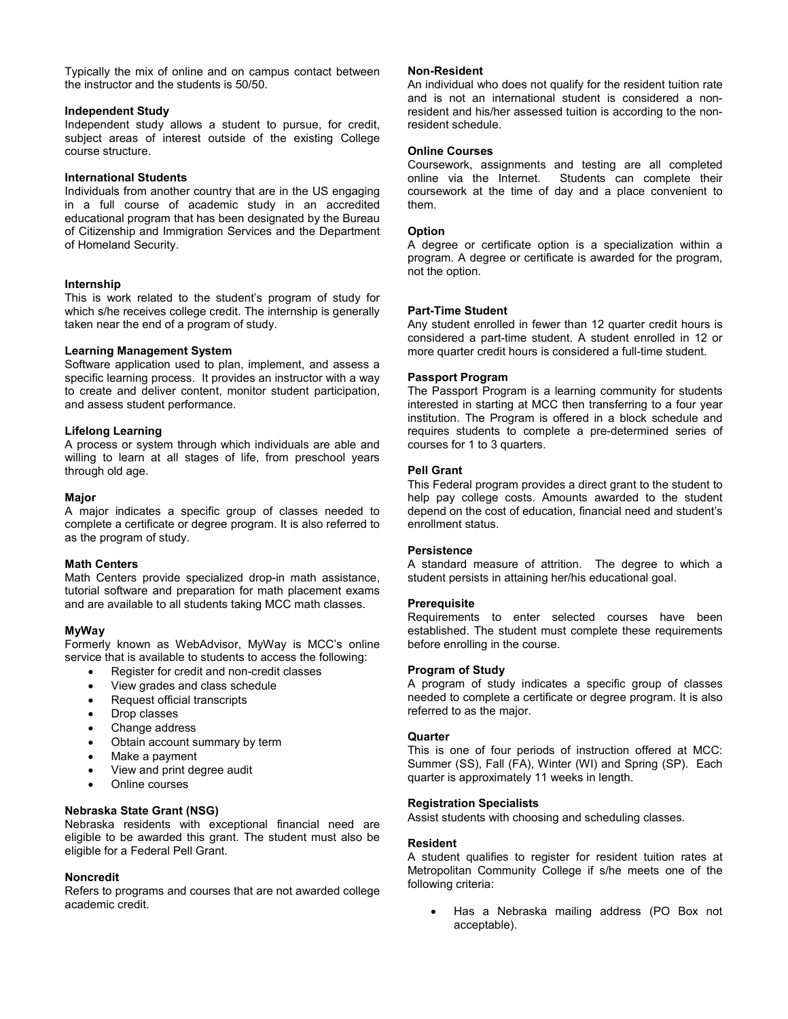Typically the mix of online and on campus contact between the instructor and the students is 50/50.

## **Independent Study**

Independent study allows a student to pursue, for credit, subject areas of interest outside of the existing College course structure.

## **International Students**

Individuals from another country that are in the US engaging in a full course of academic study in an accredited educational program that has been designated by the Bureau of Citizenship and Immigration Services and the Department of Homeland Security.

## **Internship**

This is work related to the student's program of study for which s/he receives college credit. The internship is generally taken near the end of a program of study.

## **Learning Management System**

Software application used to plan, implement, and assess a specific learning process. It provides an instructor with a way to create and deliver content, monitor student participation, and assess student performance.

## **Lifelong Learning**

A process or system through which individuals are able and willing to learn at all stages of life, from preschool years through old age.

## **Major**

A major indicates a specific group of classes needed to complete a certificate or degree program. It is also referred to as the program of study.

## **Math Centers**

Math Centers provide specialized drop-in math assistance, tutorial software and preparation for math placement exams and are available to all students taking MCC math classes.

## **MyWay**

Formerly known as WebAdvisor, MyWay is MCC's online service that is available to students to access the following:

- Register for credit and non-credit classes
- View grades and class schedule
- Request official transcripts
- Drop classes
- Change address
- Obtain account summary by term
- Make a payment
- View and print degree audit
- Online courses

## **Nebraska State Grant (NSG)**

Nebraska residents with exceptional financial need are eligible to be awarded this grant. The student must also be eligible for a Federal Pell Grant.

## **Noncredit**

Refers to programs and courses that are not awarded college academic credit.

## **Non-Resident**

An individual who does not qualify for the resident tuition rate and is not an international student is considered a nonresident and his/her assessed tuition is according to the nonresident schedule.

## **Online Courses**

Coursework, assignments and testing are all completed online via the Internet. Students can complete their coursework at the time of day and a place convenient to them.

## **Option**

A degree or certificate option is a specialization within a program. A degree or certificate is awarded for the program, not the option.

## **Part-Time Student**

Any student enrolled in fewer than 12 quarter credit hours is considered a part-time student. A student enrolled in 12 or more quarter credit hours is considered a full-time student.

## **Passport Program**

The Passport Program is a learning community for students interested in starting at MCC then transferring to a four year institution. The Program is offered in a block schedule and requires students to complete a pre-determined series of courses for 1 to 3 quarters.

## **Pell Grant**

This Federal program provides a direct grant to the student to help pay college costs. Amounts awarded to the student depend on the cost of education, financial need and student's enrollment status.

## **Persistence**

A standard measure of attrition. The degree to which a student persists in attaining her/his educational goal.

## **Prerequisite**

Requirements to enter selected courses have been established. The student must complete these requirements before enrolling in the course.

## **Program of Study**

A program of study indicates a specific group of classes needed to complete a certificate or degree program. It is also referred to as the major.

## **Quarter**

This is one of four periods of instruction offered at MCC: Summer (SS), Fall (FA), Winter (WI) and Spring (SP). Each quarter is approximately 11 weeks in length.

## **Registration Specialists**

Assist students with choosing and scheduling classes.

## **Resident**

A student qualifies to register for resident tuition rates at Metropolitan Community College if s/he meets one of the following criteria:

• Has a Nebraska mailing address (PO Box not acceptable).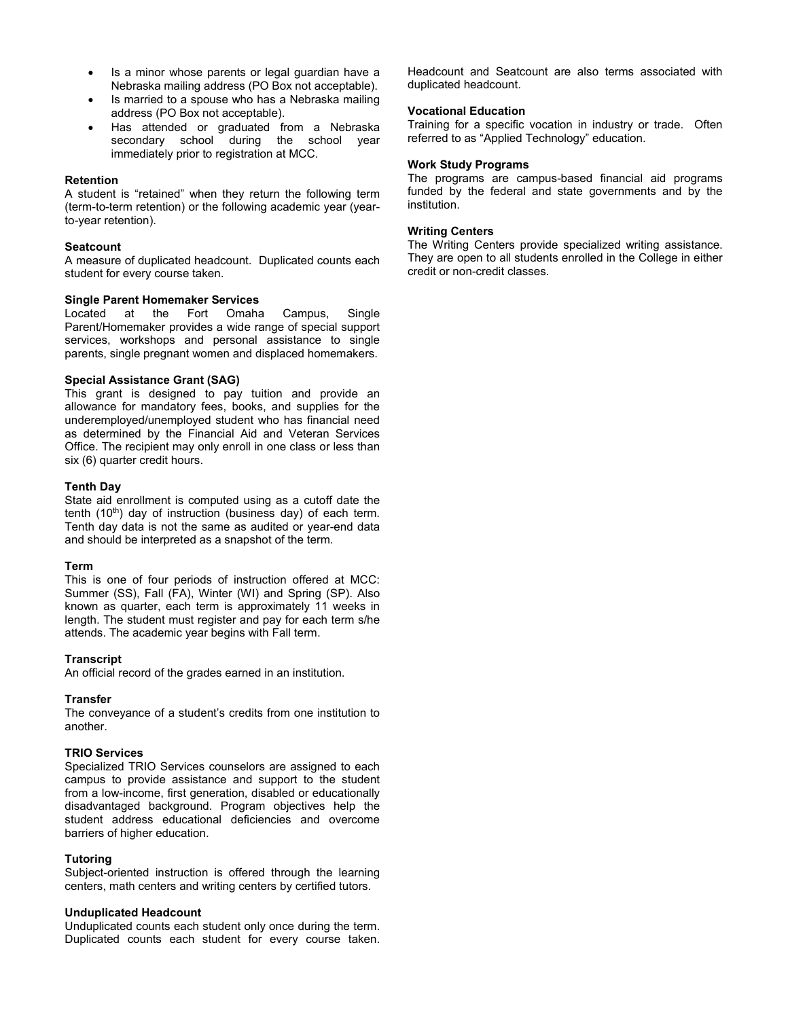- Is a minor whose parents or legal guardian have a Nebraska mailing address (PO Box not acceptable).
- Is married to a spouse who has a Nebraska mailing address (PO Box not acceptable).
- Has attended or graduated from a Nebraska secondary school during the school year immediately prior to registration at MCC.

## **Retention**

A student is "retained" when they return the following term (term-to-term retention) or the following academic year (yearto-year retention).

## **Seatcount**

A measure of duplicated headcount. Duplicated counts each student for every course taken.

# **Single Parent Homemaker Services**<br>Located at the Fort Omaha

at the Fort Omaha Campus, Single Parent/Homemaker provides a wide range of special support services, workshops and personal assistance to single parents, single pregnant women and displaced homemakers.

## **Special Assistance Grant (SAG)**

This grant is designed to pay tuition and provide an allowance for mandatory fees, books, and supplies for the underemployed/unemployed student who has financial need as determined by the Financial Aid and Veteran Services Office. The recipient may only enroll in one class or less than six (6) quarter credit hours.

## **Tenth Day**

State aid enrollment is computed using as a cutoff date the tenth  $(10<sup>th</sup>)$  day of instruction (business day) of each term. Tenth day data is not the same as audited or year-end data and should be interpreted as a snapshot of the term.

## **Term**

This is one of four periods of instruction offered at MCC: Summer (SS), Fall (FA), Winter (WI) and Spring (SP). Also known as quarter, each term is approximately 11 weeks in length. The student must register and pay for each term s/he attends. The academic year begins with Fall term.

## **Transcript**

An official record of the grades earned in an institution.

## **Transfer**

The conveyance of a student's credits from one institution to another.

## **TRIO Services**

Specialized TRIO Services counselors are assigned to each campus to provide assistance and support to the student from a low-income, first generation, disabled or educationally disadvantaged background. Program objectives help the student address educational deficiencies and overcome barriers of higher education.

## **Tutoring**

Subject-oriented instruction is offered through the learning centers, math centers and writing centers by certified tutors.

## **Unduplicated Headcount**

Unduplicated counts each student only once during the term. Duplicated counts each student for every course taken. Headcount and Seatcount are also terms associated with duplicated headcount.

## **Vocational Education**

Training for a specific vocation in industry or trade. Often referred to as "Applied Technology" education.

## **Work Study Programs**

The programs are campus-based financial aid programs funded by the federal and state governments and by the institution.

## **Writing Centers**

The Writing Centers provide specialized writing assistance. They are open to all students enrolled in the College in either credit or non-credit classes.